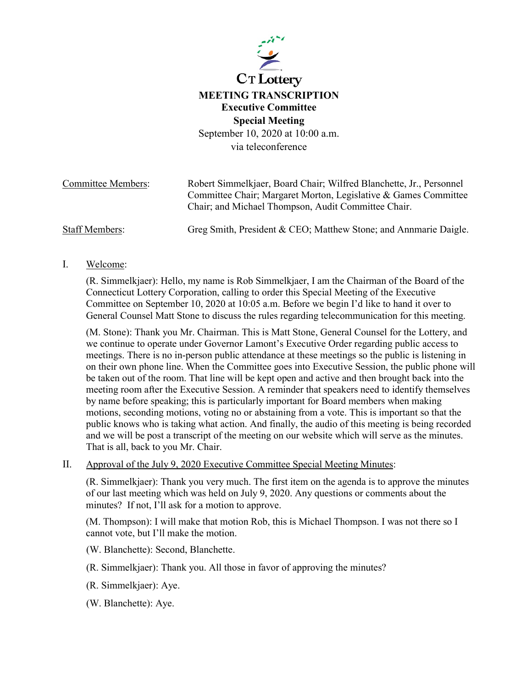

## **MEETING TRANSCRIPTION Executive Committee Special Meeting**

September 10, 2020 at 10:00 a.m. via teleconference

| <b>Committee Members:</b> | Robert Simmelkjaer, Board Chair; Wilfred Blanchette, Jr., Personnel                                                    |
|---------------------------|------------------------------------------------------------------------------------------------------------------------|
|                           | Committee Chair; Margaret Morton, Legislative & Games Committee<br>Chair; and Michael Thompson, Audit Committee Chair. |
| <b>Staff Members:</b>     | Greg Smith, President & CEO; Matthew Stone; and Annmarie Daigle.                                                       |

I. Welcome:

(R. Simmelkjaer): Hello, my name is Rob Simmelkjaer, I am the Chairman of the Board of the Connecticut Lottery Corporation, calling to order this Special Meeting of the Executive Committee on September 10, 2020 at 10:05 a.m. Before we begin I'd like to hand it over to General Counsel Matt Stone to discuss the rules regarding telecommunication for this meeting.

(M. Stone): Thank you Mr. Chairman. This is Matt Stone, General Counsel for the Lottery, and we continue to operate under Governor Lamont's Executive Order regarding public access to meetings. There is no in-person public attendance at these meetings so the public is listening in on their own phone line. When the Committee goes into Executive Session, the public phone will be taken out of the room. That line will be kept open and active and then brought back into the meeting room after the Executive Session. A reminder that speakers need to identify themselves by name before speaking; this is particularly important for Board members when making motions, seconding motions, voting no or abstaining from a vote. This is important so that the public knows who is taking what action. And finally, the audio of this meeting is being recorded and we will be post a transcript of the meeting on our website which will serve as the minutes. That is all, back to you Mr. Chair.

II. Approval of the July 9, 2020 Executive Committee Special Meeting Minutes:

(R. Simmelkjaer): Thank you very much. The first item on the agenda is to approve the minutes of our last meeting which was held on July 9, 2020. Any questions or comments about the minutes? If not, I'll ask for a motion to approve.

(M. Thompson): I will make that motion Rob, this is Michael Thompson. I was not there so I cannot vote, but I'll make the motion.

(W. Blanchette): Second, Blanchette.

(R. Simmelkjaer): Thank you. All those in favor of approving the minutes?

(R. Simmelkjaer): Aye.

(W. Blanchette): Aye.